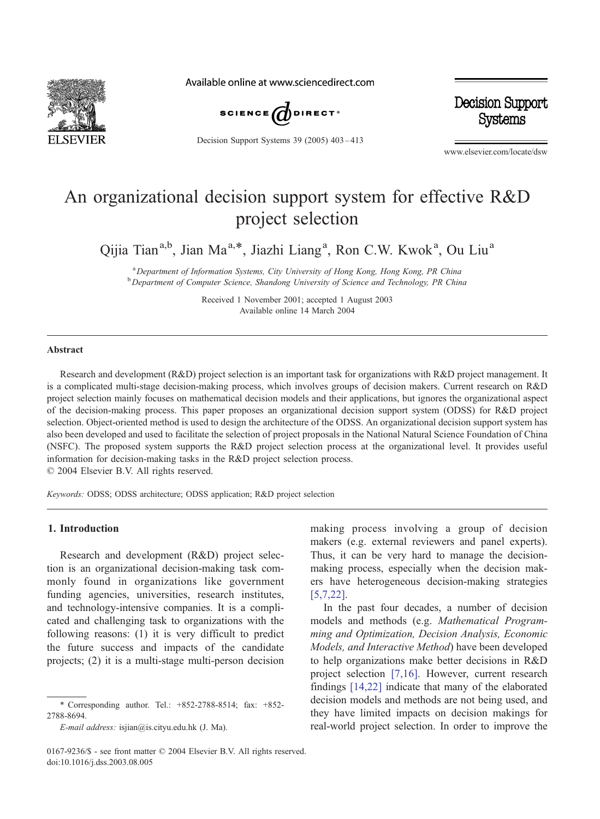

Available online at www.sciencedirect.com



Decision Support Systems 39 (2005) 403 – 413

Decision Support **Systems** 

www.elsevier.com/locate/dsw

# An organizational decision support system for effective R&D project selection

Qijia Tian<sup>a,b</sup>, Jian Ma<sup>a,\*</sup>, Jiazhi Liang<sup>a</sup>, Ron C.W. Kwok<sup>a</sup>, Ou Liu<sup>a</sup>

<sup>a</sup> Department of Information Systems, City University of Hong Kong, Hong Kong, PR China <sup>b</sup> Department of Computer Science, Shandong University of Science and Technology, PR China

> Received 1 November 2001; accepted 1 August 2003 Available online 14 March 2004

#### Abstract

Research and development (R&D) project selection is an important task for organizations with R&D project management. It is a complicated multi-stage decision-making process, which involves groups of decision makers. Current research on R&D project selection mainly focuses on mathematical decision models and their applications, but ignores the organizational aspect of the decision-making process. This paper proposes an organizational decision support system (ODSS) for R&D project selection. Object-oriented method is used to design the architecture of the ODSS. An organizational decision support system has also been developed and used to facilitate the selection of project proposals in the National Natural Science Foundation of China (NSFC). The proposed system supports the R&D project selection process at the organizational level. It provides useful information for decision-making tasks in the R&D project selection process.  $© 2004 Elsevier B.V. All rights reserved.$ 

Keywords: ODSS; ODSS architecture; ODSS application; R&D project selection

### 1. Introduction

Research and development (R&D) project selection is an organizational decision-making task commonly found in organizations like government funding agencies, universities, research institutes, and technology-intensive companies. It is a complicated and challenging task to organizations with the following reasons: (1) it is very difficult to predict the future success and impacts of the candidate projects; (2) it is a multi-stage multi-person decision

\* Corresponding author. Tel.: +852-2788-8514; fax: +852- 2788-8694.

E-mail address: isjian@is.cityu.edu.hk (J. Ma).

making process involving a group of decision makers (e.g. external reviewers and panel experts). Thus, it can be very hard to manage the decisionmaking process, especially when the decision makers have heterogeneous decision-making strategies [\[5,7,22\].](#page--1-0)

In the past four decades, a number of decision models and methods (e.g. Mathematical Programming and Optimization, Decision Analysis, Economic Models, and Interactive Method) have been developed to help organizations make better decisions in R&D project selection [\[7,16\].](#page--1-0) However, current research findings [\[14,22\]](#page--1-0) indicate that many of the elaborated decision models and methods are not being used, and they have limited impacts on decision makings for real-world project selection. In order to improve the

<sup>0167-9236/\$ -</sup> see front matter © 2004 Elsevier B.V. All rights reserved. doi:10.1016/j.dss.2003.08.005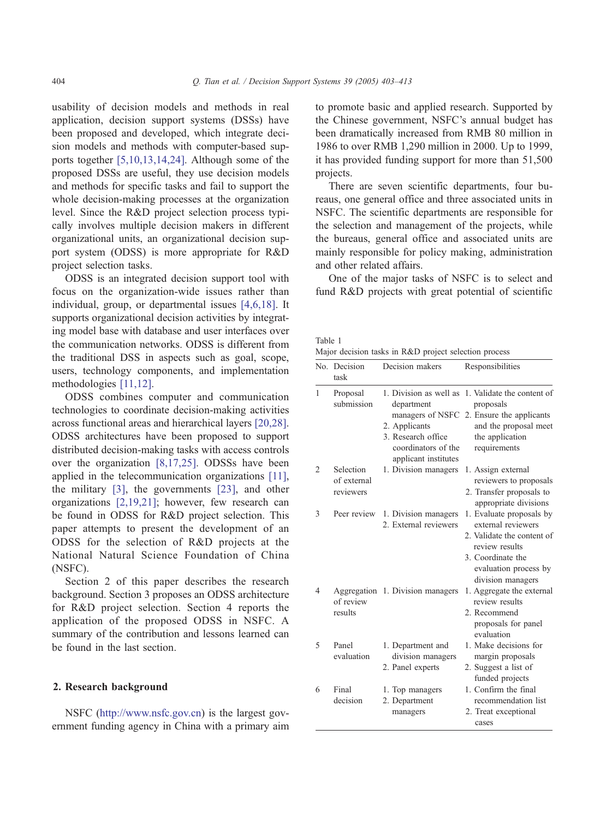usability of decision models and methods in real application, decision support systems (DSSs) have been proposed and developed, which integrate decision models and methods with computer-based supports together [\[5,10,13,14,24\].](#page--1-0) Although some of the proposed DSSs are useful, they use decision models and methods for specific tasks and fail to support the whole decision-making processes at the organization level. Since the R&D project selection process typically involves multiple decision makers in different organizational units, an organizational decision support system (ODSS) is more appropriate for R&D project selection tasks.

ODSS is an integrated decision support tool with focus on the organization-wide issues rather than individual, group, or departmental issues [\[4,6,18\].](#page--1-0) It supports organizational decision activities by integrating model base with database and user interfaces over the communication networks. ODSS is different from the traditional DSS in aspects such as goal, scope, users, technology components, and implementation methodologies [\[11,12\].](#page--1-0)

ODSS combines computer and communication technologies to coordinate decision-making activities across functional areas and hierarchical layers [\[20,28\].](#page--1-0) ODSS architectures have been proposed to support distributed decision-making tasks with access controls over the organization [\[8,17,25\].](#page--1-0) ODSSs have been applied in the telecommunication organizations [\[11\],](#page--1-0) the military [\[3\],](#page--1-0) the governments [\[23\],](#page--1-0) and other organizations [\[2,19,21\];](#page--1-0) however, few research can be found in ODSS for R&D project selection. This paper attempts to present the development of an ODSS for the selection of R&D projects at the National Natural Science Foundation of China (NSFC).

Section 2 of this paper describes the research background. Section 3 proposes an ODSS architecture for R&D project selection. Section 4 reports the application of the proposed ODSS in NSFC. A summary of the contribution and lessons learned can be found in the last section.

### 2. Research background

NSFC ([http://www.nsfc.gov.cn\)](http://www.nsfc.gov.cn) is the largest government funding agency in China with a primary aim to promote basic and applied research. Supported by the Chinese government, NSFC's annual budget has been dramatically increased from RMB 80 million in 1986 to over RMB 1,290 million in 2000. Up to 1999, it has provided funding support for more than 51,500 projects.

There are seven scientific departments, four bureaus, one general office and three associated units in NSFC. The scientific departments are responsible for the selection and management of the projects, while the bureaus, general office and associated units are mainly responsible for policy making, administration and other related affairs.

One of the major tasks of NSFC is to select and fund R&D projects with great potential of scientific

| Table 1 |  |  |                                                       |  |
|---------|--|--|-------------------------------------------------------|--|
|         |  |  | Major decision tasks in R&D project selection process |  |

|                | No. Decision<br>task                  | Decision makers                                                                                                            | Responsibilities                                                                                                                                                  |
|----------------|---------------------------------------|----------------------------------------------------------------------------------------------------------------------------|-------------------------------------------------------------------------------------------------------------------------------------------------------------------|
| $\mathbf{1}$   | Proposal<br>submission                | 1. Division as well as<br>department<br>2. Applicants<br>3. Research office<br>coordinators of the<br>applicant institutes | 1. Validate the content of<br>proposals<br>managers of NSFC 2. Ensure the applicants<br>and the proposal meet<br>the application<br>requirements                  |
| $\overline{2}$ | Selection<br>of external<br>reviewers | 1. Division managers                                                                                                       | 1. Assign external<br>reviewers to proposals<br>2. Transfer proposals to<br>appropriate divisions                                                                 |
| 3              | Peer review                           | 1. Division managers<br>2. External reviewers                                                                              | 1. Evaluate proposals by<br>external reviewers<br>2. Validate the content of<br>review results<br>3. Coordinate the<br>evaluation process by<br>division managers |
| 4              | of review<br>results                  | Aggregation 1. Division managers                                                                                           | 1. Aggregate the external<br>review results<br>2. Recommend<br>proposals for panel<br>evaluation                                                                  |
| 5              | Panel<br>evaluation                   | 1. Department and<br>division managers<br>2. Panel experts                                                                 | 1. Make decisions for<br>margin proposals<br>2. Suggest a list of<br>funded projects                                                                              |
| 6              | Final<br>decision                     | 1. Top managers<br>2. Department<br>managers                                                                               | 1. Confirm the final<br>recommendation list<br>2. Treat exceptional<br>cases                                                                                      |